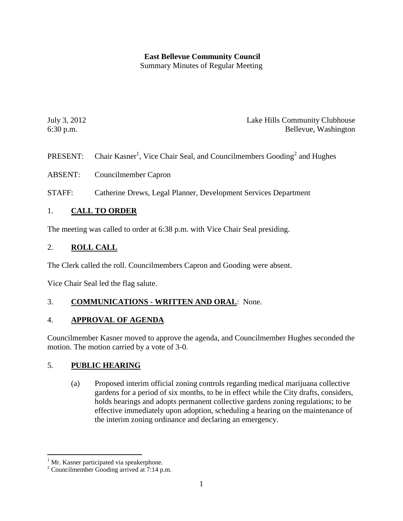# **East Bellevue Community Council**

Summary Minutes of Regular Meeting

July 3, 2012 Lake Hills Community Clubhouse 6:30 p.m. Bellevue, Washington

- PRESENT: Chair Kasner<sup>1</sup>[,](#page-0-0) Vice Chair Seal, and Councilmembers Gooding<sup>[2](#page-0-1)</sup> and Hughes
- ABSENT: Councilmember Capron
- STAFF: Catherine Drews, Legal Planner, Development Services Department

#### 1. **CALL TO ORDER**

The meeting was called to order at 6:38 p.m. with Vice Chair Seal presiding.

#### 2. **ROLL CALL**

The Clerk called the roll. Councilmembers Capron and Gooding were absent.

Vice Chair Seal led the flag salute.

#### 3. **COMMUNICATIONS - WRITTEN AND ORAL**: None.

#### 4. **APPROVAL OF AGENDA**

Councilmember Kasner moved to approve the agenda, and Councilmember Hughes seconded the motion. The motion carried by a vote of 3-0.

### 5. **PUBLIC HEARING**

(a) Proposed interim official zoning controls regarding medical marijuana collective gardens for a period of six months, to be in effect while the City drafts, considers, holds hearings and adopts permanent collective gardens zoning regulations; to be effective immediately upon adoption, scheduling a hearing on the maintenance of the interim zoning ordinance and declaring an emergency.

<span id="page-0-0"></span> $1$  Mr. Kasner participated via speakerphone.

<span id="page-0-1"></span><sup>2</sup> Councilmember Gooding arrived at 7:14 p.m.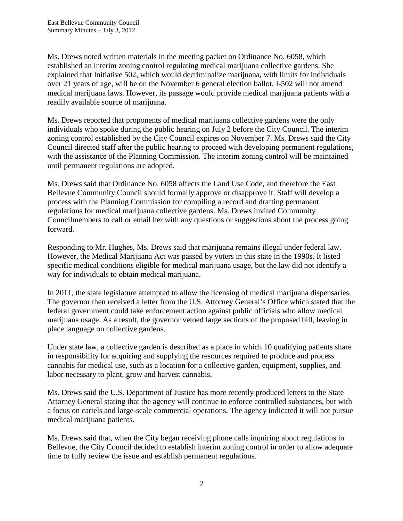Ms. Drews noted written materials in the meeting packet on Ordinance No. 6058, which established an interim zoning control regulating medical marijuana collective gardens. She explained that Initiative 502, which would decriminalize marijuana, with limits for individuals over 21 years of age, will be on the November 6 general election ballot. I-502 will not amend medical marijuana laws. However, its passage would provide medical marijuana patients with a readily available source of marijuana.

Ms. Drews reported that proponents of medical marijuana collective gardens were the only individuals who spoke during the public hearing on July 2 before the City Council. The interim zoning control established by the City Council expires on November 7. Ms. Drews said the City Council directed staff after the public hearing to proceed with developing permanent regulations, with the assistance of the Planning Commission. The interim zoning control will be maintained until permanent regulations are adopted.

Ms. Drews said that Ordinance No. 6058 affects the Land Use Code, and therefore the East Bellevue Community Council should formally approve or disapprove it. Staff will develop a process with the Planning Commission for compiling a record and drafting permanent regulations for medical marijuana collective gardens. Ms. Drews invited Community Councilmembers to call or email her with any questions or suggestions about the process going forward.

Responding to Mr. Hughes, Ms. Drews said that marijuana remains illegal under federal law. However, the Medical Marijuana Act was passed by voters in this state in the 1990s. It listed specific medical conditions eligible for medical marijuana usage, but the law did not identify a way for individuals to obtain medical marijuana.

In 2011, the state legislature attempted to allow the licensing of medical marijuana dispensaries. The governor then received a letter from the U.S. Attorney General's Office which stated that the federal government could take enforcement action against public officials who allow medical marijuana usage. As a result, the governor vetoed large sections of the proposed bill, leaving in place language on collective gardens.

Under state law, a collective garden is described as a place in which 10 qualifying patients share in responsibility for acquiring and supplying the resources required to produce and process cannabis for medical use, such as a location for a collective garden, equipment, supplies, and labor necessary to plant, grow and harvest cannabis.

Ms. Drews said the U.S. Department of Justice has more recently produced letters to the State Attorney General stating that the agency will continue to enforce controlled substances, but with a focus on cartels and large-scale commercial operations. The agency indicated it will not pursue medical marijuana patients.

Ms. Drews said that, when the City began receiving phone calls inquiring about regulations in Bellevue, the City Council decided to establish interim zoning control in order to allow adequate time to fully review the issue and establish permanent regulations.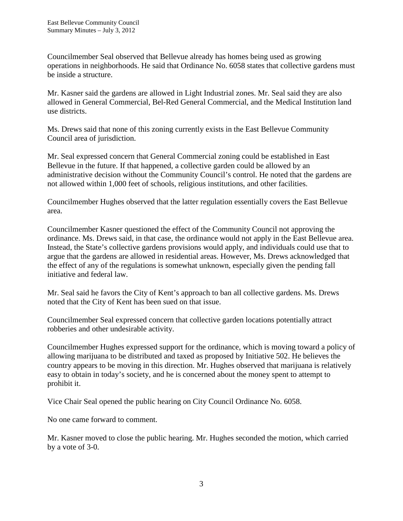Councilmember Seal observed that Bellevue already has homes being used as growing operations in neighborhoods. He said that Ordinance No. 6058 states that collective gardens must be inside a structure.

Mr. Kasner said the gardens are allowed in Light Industrial zones. Mr. Seal said they are also allowed in General Commercial, Bel-Red General Commercial, and the Medical Institution land use districts.

Ms. Drews said that none of this zoning currently exists in the East Bellevue Community Council area of jurisdiction.

Mr. Seal expressed concern that General Commercial zoning could be established in East Bellevue in the future. If that happened, a collective garden could be allowed by an administrative decision without the Community Council's control. He noted that the gardens are not allowed within 1,000 feet of schools, religious institutions, and other facilities.

Councilmember Hughes observed that the latter regulation essentially covers the East Bellevue area.

Councilmember Kasner questioned the effect of the Community Council not approving the ordinance. Ms. Drews said, in that case, the ordinance would not apply in the East Bellevue area. Instead, the State's collective gardens provisions would apply, and individuals could use that to argue that the gardens are allowed in residential areas. However, Ms. Drews acknowledged that the effect of any of the regulations is somewhat unknown, especially given the pending fall initiative and federal law.

Mr. Seal said he favors the City of Kent's approach to ban all collective gardens. Ms. Drews noted that the City of Kent has been sued on that issue.

Councilmember Seal expressed concern that collective garden locations potentially attract robberies and other undesirable activity.

Councilmember Hughes expressed support for the ordinance, which is moving toward a policy of allowing marijuana to be distributed and taxed as proposed by Initiative 502. He believes the country appears to be moving in this direction. Mr. Hughes observed that marijuana is relatively easy to obtain in today's society, and he is concerned about the money spent to attempt to prohibit it.

Vice Chair Seal opened the public hearing on City Council Ordinance No. 6058.

No one came forward to comment.

Mr. Kasner moved to close the public hearing. Mr. Hughes seconded the motion, which carried by a vote of 3-0.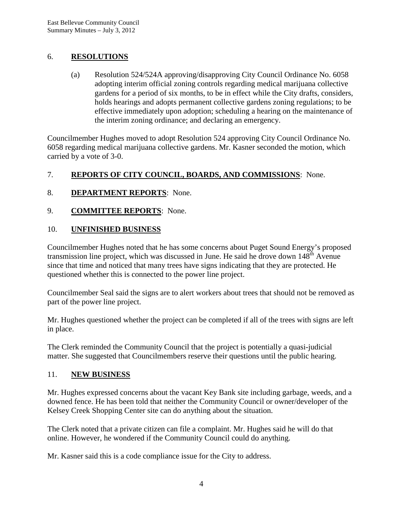### 6. **RESOLUTIONS**

(a) Resolution 524/524A approving/disapproving City Council Ordinance No. 6058 adopting interim official zoning controls regarding medical marijuana collective gardens for a period of six months, to be in effect while the City drafts, considers, holds hearings and adopts permanent collective gardens zoning regulations; to be effective immediately upon adoption; scheduling a hearing on the maintenance of the interim zoning ordinance; and declaring an emergency.

Councilmember Hughes moved to adopt Resolution 524 approving City Council Ordinance No. 6058 regarding medical marijuana collective gardens. Mr. Kasner seconded the motion, which carried by a vote of 3-0.

### 7. **REPORTS OF CITY COUNCIL, BOARDS, AND COMMISSIONS**: None.

### 8. **DEPARTMENT REPORTS**: None.

9. **COMMITTEE REPORTS**: None.

### 10. **UNFINISHED BUSINESS**

Councilmember Hughes noted that he has some concerns about Puget Sound Energy's proposed transmission line project, which was discussed in June. He said he drove down 148<sup>th</sup> Avenue since that time and noticed that many trees have signs indicating that they are protected. He questioned whether this is connected to the power line project.

Councilmember Seal said the signs are to alert workers about trees that should not be removed as part of the power line project.

Mr. Hughes questioned whether the project can be completed if all of the trees with signs are left in place.

The Clerk reminded the Community Council that the project is potentially a quasi-judicial matter. She suggested that Councilmembers reserve their questions until the public hearing.

### 11. **NEW BUSINESS**

Mr. Hughes expressed concerns about the vacant Key Bank site including garbage, weeds, and a downed fence. He has been told that neither the Community Council or owner/developer of the Kelsey Creek Shopping Center site can do anything about the situation.

The Clerk noted that a private citizen can file a complaint. Mr. Hughes said he will do that online. However, he wondered if the Community Council could do anything.

Mr. Kasner said this is a code compliance issue for the City to address.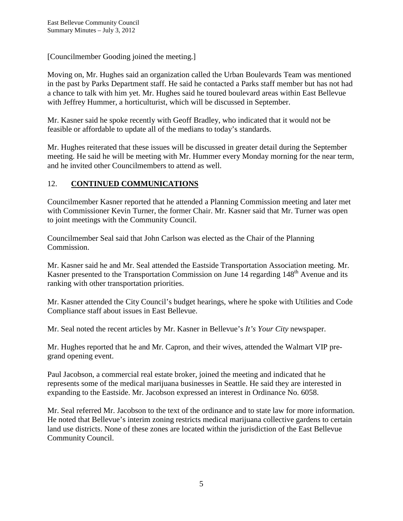[Councilmember Gooding joined the meeting.]

Moving on, Mr. Hughes said an organization called the Urban Boulevards Team was mentioned in the past by Parks Department staff. He said he contacted a Parks staff member but has not had a chance to talk with him yet. Mr. Hughes said he toured boulevard areas within East Bellevue with Jeffrey Hummer, a horticulturist, which will be discussed in September.

Mr. Kasner said he spoke recently with Geoff Bradley, who indicated that it would not be feasible or affordable to update all of the medians to today's standards.

Mr. Hughes reiterated that these issues will be discussed in greater detail during the September meeting. He said he will be meeting with Mr. Hummer every Monday morning for the near term, and he invited other Councilmembers to attend as well.

#### 12. **CONTINUED COMMUNICATIONS**

Councilmember Kasner reported that he attended a Planning Commission meeting and later met with Commissioner Kevin Turner, the former Chair. Mr. Kasner said that Mr. Turner was open to joint meetings with the Community Council.

Councilmember Seal said that John Carlson was elected as the Chair of the Planning Commission.

Mr. Kasner said he and Mr. Seal attended the Eastside Transportation Association meeting. Mr. Kasner presented to the Transportation Commission on June 14 regarding 148<sup>th</sup> Avenue and its ranking with other transportation priorities.

Mr. Kasner attended the City Council's budget hearings, where he spoke with Utilities and Code Compliance staff about issues in East Bellevue.

Mr. Seal noted the recent articles by Mr. Kasner in Bellevue's *It's Your City* newspaper.

Mr. Hughes reported that he and Mr. Capron, and their wives, attended the Walmart VIP pregrand opening event.

Paul Jacobson, a commercial real estate broker, joined the meeting and indicated that he represents some of the medical marijuana businesses in Seattle. He said they are interested in expanding to the Eastside. Mr. Jacobson expressed an interest in Ordinance No. 6058.

Mr. Seal referred Mr. Jacobson to the text of the ordinance and to state law for more information. He noted that Bellevue's interim zoning restricts medical marijuana collective gardens to certain land use districts. None of these zones are located within the jurisdiction of the East Bellevue Community Council.